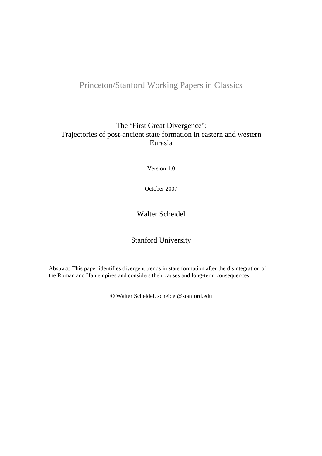# Princeton/Stanford Working Papers in Classics

## The 'First Great Divergence': Trajectories of post-ancient state formation in eastern and western Eurasia

Version 1.0

October 2007

## Walter Scheidel

## Stanford University

Abstract: This paper identifies divergent trends in state formation after the disintegration of the Roman and Han empires and considers their causes and long-term consequences.

© Walter Scheidel. scheidel@stanford.edu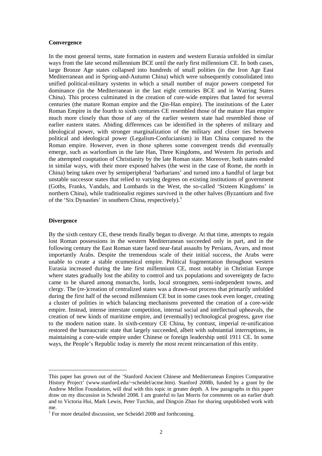#### **Convergence**

In the most general terms, state formation in eastern and western Eurasia unfolded in similar ways from the late second millennium BCE until the early first millennium CE. In both cases, large Bronze Age states collapsed into hundreds of small polities (in the Iron Age East Mediterranean and in Spring-and-Autumn China) which were subsequently consolidated into unified political-military systems in which a small number of major powers competed for dominance (in the Mediterranean in the last eight centuries BCE and in Warring States China). This process culminated in the creation of core-wide empires that lasted for several centuries (the mature Roman empire and the Qin-Han empire). The institutions of the Later Roman Empire in the fourth to sixth centuries CE resembled those of the mature Han empire much more closely than those of any of the earlier western state had resembled those of earlier eastern states. Abiding differences can be identified in the spheres of military and ideological power, with stronger marginalization of the military and closer ties between political and ideological power (Legalism-Confucianism) in Han China compared to the Roman empire. However, even in those spheres some convergent trends did eventually emerge, such as warlordism in the late Han, Three Kingdoms, and Western Jin periods and the attempted cooptation of Christianity by the late Roman state. Moreover, both states ended in similar ways, with their more exposed halves (the west in the case of Rome, the north in China) being taken over by semiperipheral 'barbarians' and turned into a handful of large but unstable successor states that relied to varying degrees on existing institutions of government (Goths, Franks, Vandals, and Lombards in the West, the so-called 'Sixteen Kingdoms' in northern China), while traditionalist regimes survived in the other halves (Byzantium and five of the 'Six Dynasties' in southern China, respectively).<sup>[1](#page-1-0)</sup>

### **Divergence**

 $\overline{a}$ 

By the sixth century CE, these trends finally began to diverge. At that time, attempts to regain lost Roman possessions in the western Mediterranean succeeded only in part, and in the following century the East Roman state faced near-fatal assaults by Persians, Avars, and most importantly Arabs. Despite the tremendous scale of their initial success, the Arabs were unable to create a stable ecumenical empire. Political fragmentation throughout western Eurasia increased during the late first millennium CE, most notably in Christian Europe where states gradually lost the ability to control and tax populations and sovereignty de facto came to be shared among monarchs, lords, local strongmen, semi-independent towns, and clergy. The (re-)creation of centralized states was a drawn-out process that primarily unfolded during the first half of the second millennium CE but in some cases took even longer, creating a cluster of polities in which balancing mechanisms prevented the creation of a core-wide empire. Instead, intense interstate competition, internal social and intellectual upheavals, the creation of new kinds of maritime empire, and (eventually) technological progress, gave rise to the modern nation state. In sixth-century CE China, by contrast, imperial re-unification restored the bureaucratic state that largely succeeded, albeit with substantial interruptions, in maintaining a core-wide empire under Chinese or foreign leadership until 1911 CE. In some ways, the People's Republic today is merely the most recent reincarnation of this entity.

<span id="page-1-0"></span>This paper has grown out of the 'Stanford Ancient Chinese and Mediterranean Empires Comparative History Project' (www.stanford.edu/~scheidel/acme.htm). Stanford 2008b, funded by a grant by the Andrew Mellon Foundation, will deal with this topic in greater depth. A few paragraphs in this paper draw on my discussion in Scheidel 2008. I am grateful to Ian Morris for comments on an earlier draft and to Victoria Hui, Mark Lewis, Peter Turchin, and Dingxin Zhao for sharing unpublished work with me.

<sup>&</sup>lt;sup>1</sup> For more detailed discussion, see Scheidel 2008 and forthcoming.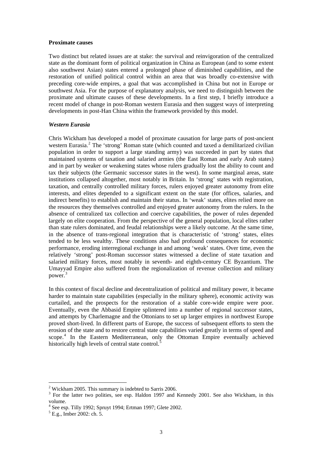#### **Proximate causes**

Two distinct but related issues are at stake: the survival and reinvigoration of the centralized state as the dominant form of political organization in China as European (and to some extent also southwest Asian) states entered a prolonged phase of diminished capabilities, and the restoration of unified political control within an area that was broadly co-extensive with preceding core-wide empires, a goal that was accomplished in China but not in Europe or southwest Asia. For the purpose of explanatory analysis, we need to distinguish between the proximate and ultimate causes of these developments. In a first step, I briefly introduce a recent model of change in post-Roman western Eurasia and then suggest ways of interpreting developments in post-Han China within the framework provided by this model.

### *Western Eurasia*

Chris Wickham has developed a model of proximate causation for large parts of post-ancient western Eurasia.<sup>[2](#page-2-0)</sup> The 'strong' Roman state (which counted and taxed a demilitarized civilian population in order to support a large standing army) was succeeded in part by states that maintained systems of taxation and salaried armies (the East Roman and early Arab states) and in part by weaker or weakening states whose rulers gradually lost the ability to count and tax their subjects (the Germanic successor states in the west). In some marginal areas, state institutions collapsed altogether, most notably in Britain. In 'strong' states with registration, taxation, and centrally controlled military forces, rulers enjoyed greater autonomy from elite interests, and elites depended to a significant extent on the state (for offices, salaries, and indirect benefits) to establish and maintain their status. In 'weak' states, elites relied more on the resources they themselves controlled and enjoyed greater autonomy from the rulers. In the absence of centralized tax collection and coercive capabilities, the power of rules depended largely on elite cooperation. From the perspective of the general population, local elites rather than state rulers dominated, and feudal relationships were a likely outcome. At the same time, in the absence of trans-regional integration that is characteristic of 'strong' states, elites tended to be less wealthy. These conditions also had profound consequences for economic performance, eroding interregional exchange in and among 'weak' states. Over time, even the relatively 'strong' post-Roman successor states witnessed a decline of state taxation and salaried military forces, most notably in seventh- and eighth-century CE Byzantium. The Umayyad Empire also suffered from the regionalization of revenue collection and military power.[3](#page-2-1)

In this context of fiscal decline and decentralization of political and military power, it became harder to maintain state capabilities (especially in the military sphere), economic activity was curtailed, and the prospects for the restoration of a stable core-wide empire were poor. Eventually, even the Abbasid Empire splintered into a number of regional successor states, and attempts by Charlemagne and the Ottonians to set up larger empires in northwest Europe proved short-lived. In different parts of Europe, the success of subsequent efforts to stem the erosion of the state and to restore central state capabilities varied greatly in terms of speed and scope.<sup>[4](#page-2-2)</sup> In the Eastern Mediterranean, only the Ottoman Empire eventually achieved historically high levels of central state control.<sup>[5](#page-2-3)</sup>

 $2$  Wickham 2005. This summary is indebted to Sarris 2006.

<span id="page-2-1"></span><span id="page-2-0"></span><sup>&</sup>lt;sup>3</sup> For the latter two polities, see esp. Haldon 1997 and Kennedy 2001. See also Wickham, in this volume.

<span id="page-2-2"></span><sup>4</sup> See esp. Tilly 1992; Spruyt 1994; Ertman 1997; Glete 2002.

<span id="page-2-3"></span><sup>5</sup> E.g., Imber 2002: ch. 5.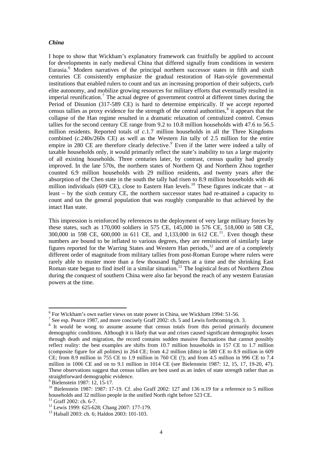## *China*

I hope to show that Wickham's explanatory framework can fruitfully be applied to account for developments in early medieval China that differed signally from conditions in western Eurasia.<sup>[6](#page-3-0)</sup> Modern narratives of the principal northern successor states in fifth and sixth centuries CE consistently emphasize the gradual restoration of Han-style governmental institutions that enabled rulers to count and tax an increasing proportion of their subjects, curb elite autonomy, and mobilize growing resources for military efforts that eventually resulted in imperial reunification.<sup>[7](#page-3-1)</sup> The actual degree of government control at different times during the Period of Disunion (317-589 CE) is hard to determine empirically. If we accept reported census tallies as proxy evidence for the strength of the central authorities, $<sup>8</sup>$  $<sup>8</sup>$  $<sup>8</sup>$  it appears that the</sup> collapse of the Han regime resulted in a dramatic relaxation of centralized control. Census tallies for the second century CE range from 9.2 to 10.8 million households with 47.6 to 56.5 million residents. Reported totals of *c.*1.7 million households in all the Three Kingdoms combined (*c.*240s/260s CE) as well as the Western Jin tally of 2.5 million for the entire empire in 280 CE are therefore clearly defective.<sup>[9](#page-3-3)</sup> Even if the latter were indeed a tally of taxable households only, it would primarily reflect the state's inability to tax a large majority of all existing households. Three centuries later, by contrast, census quality had greatly improved. In the late 570s, the northern states of Northern Qi and Northern Zhou together counted 6.9 million households with 29 million residents, and twenty years after the absorption of the Chen state in the south the tally had risen to 8.9 million households with 46 million individuals (609 CE), close to Eastern Han levels.<sup>[10](#page-3-4)</sup> These figures indicate that – at least – by the sixth century CE, the northern successor states had re-attained a capacity to count and tax the general population that was roughly comparable to that achieved by the intact Han state.

This impression is reinforced by references to the deployment of very large military forces by these states, such as 170,000 soldiers in 575 CE, 145,000 in 576 CE, 518,000 in 588 CE, 300,000 in 598 CE, 600,000 in 6[11](#page-3-5) CE, and 1,133,000 in 612 CE.<sup>11</sup>. Even though these numbers are bound to be inflated to various degrees, they are reminiscent of similarly large figures reported for the Warring States and Western Han periods,<sup>[12](#page-3-6)</sup> and are of a completely different order of magnitude from military tallies from post-Roman Europe where rulers were rarely able to muster more than a few thousand fighters at a time and the shrinking East Roman state began to find itself in a similar situation.<sup>[13](#page-3-7)</sup> The logistical feats of Northern Zhou during the conquest of southern China were also far beyond the reach of any western Eurasian powers at the time.

<span id="page-3-0"></span> $^6$  For Wickham's own earlier views on state power in China, see Wickham 1994: 51-56.<br><sup>7</sup> See aan, Bearse 1987, and more consisely Groff 2002: ab, 5 and I quis fortheoming ab

<sup>&</sup>lt;sup>7</sup> See esp. Pearce 1987, and more concisely Graff 2002: ch. 5 and Lewis forthcoming ch. 3.

<span id="page-3-2"></span><span id="page-3-1"></span><sup>&</sup>lt;sup>8</sup> It would be wong to assume assume that census totals from this period primarily document demographic conditions. Although it is likely that war and crises caused significant demographic losses through death and migration, the record contains sudden massive fluctuations that cannot possibly reflect reality: the best examples are shifts from 10.7 million households in 157 CE to 1.7 million (composite figure for all polities) in 264 CE; from 4.2 million (ditto) in 580 CE to 8.9 million in 609 CE; from 8.9 million in 755 CE to 1.9 million in 760 CE (!); and from 4.5 million in 996 CE to 7.4 million in 1006 CE and on to 9.1 million in 1014 CE (see Bielenstein 1987: 12, 15, 17, 19-20, 47). These observations suggest that census tallies are best used as an index of state strength rather than as straightforward demographic evidence.

<sup>9</sup> Bielenstein 1987: 12, 15-17.

<span id="page-3-4"></span><span id="page-3-3"></span> $10$  Bielenstein 1987: 1987: 17-19. Cf. also Graff 2002: 127 and 136 n.19 for a reference to 5 million households and 32 million people in the unified North right before 523 CE.

<span id="page-3-5"></span><sup>&</sup>lt;sup>11</sup> Graff 2002: ch. 6-7.

<span id="page-3-6"></span><sup>&</sup>lt;sup>12</sup> Lewis 1999: 625-628; Chang 2007: 177-179.

<span id="page-3-7"></span><sup>13</sup> Halsall 2003: ch. 6; Haldon 2003: 101-103.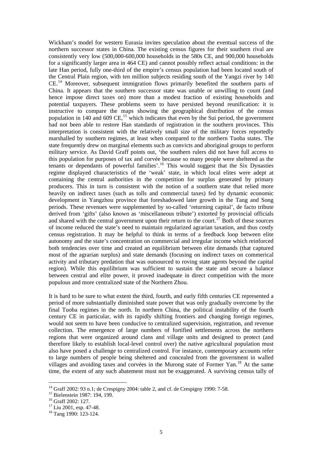Wickham's model for western Eurasia invites speculation about the eventual success of the northern successor states in China. The existing census figures for their southern rival are consistently very low (500,000-600,000 households in the 580s CE, and 900,000 households for a significantly larger area in 464 CE) and cannot possibly reflect actual conditions: in the late Han period, fully one-third of the empire's census population had been located south of the Central Plain region, with ten million subjects residing south of the Yangzi river by 140 CE.[14](#page-4-0) Moreover, subsequent immigration flows primarily benefited the southern parts of China. It appears that the southern successor state was unable or unwilling to count (and hence impose direct taxes on) more than a modest fraction of existing households and potential taxpayers. These problems seem to have persisted beyond reunification: it is instructive to compare the maps showing the geographical distribution of the census population in 140 and 609 CE,<sup>[15](#page-4-1)</sup> which indicates that even by the Sui period, the government had not been able to restore Han standards of registration in the southern provinces. This interpretation is consistent with the relatively small size of the military forces reportedly marshalled by southern regimes, at least when compared to the northern Tuoba states. The state frequently drew on marginal elements such as convicts and aboriginal groups to perform military service. As David Graff points out, 'the southern rulers did not have full access to this population for purposes of tax and corvée because so many people were sheltered as the tenants or dependants of powerful families'.<sup>[16](#page-4-2)</sup> This would suggest that the Six Dynasties regime displayed characteristics of the 'weak' state, in which local elites were adept at containing the central authorities in the competition for surplus generated by primary producers. This in turn is consistent with the notion of a southern state that relied more heavily on indirect taxes (such as tolls and commercial taxes) fed by dynamic economic development in Yangzhou province that foreshadowed later growth in the Tang and Song periods. These revenues were supplemented by so-called 'returning capital', de facto tribute derived from 'gifts' (also known as 'miscellaneous tribute') extorted by provincial officials and shared with the central government upon their return to the court.<sup>[17](#page-4-3)</sup> Both of these sources of income reduced the state's need to maintain regularized agrarian taxation, and thus costly census registration. It may be helpful to think in terms of a feedback loop between elite autonomy and the state's concentration on commercial and irregular income which reinforced both tendencies over time and created an equilibrium between elite demands (that captured most of the agrarian surplus) and state demands (focusing on indirect taxes on commerical activity and tributary predation that was outsourced to roving state agents beyond the capital region). While this equilibrium was sufficient to sustain the state and secure a balance between central and elite power, it proved inadequate in direct competition with the more populous and more centralized state of the Northern Zhou.

It is hard to be sure to what extent the third, fourth, and early fifth centuries CE represented a period of more substantially diminished state power that was only gradually overcome by the final Tuoba regimes in the north. In northern China, the political instability of the fourth century CE in particular, with its rapidly shifting frontiers and changing foreign regimes, would not seem to have been conducive to centralized supervision, registration, and revenue collection. The emergence of large numbers of fortified settlements across the northern regions that were organized around clans and village units and designed to protect (and therefore likely to establish local-level control over) the native agricultural population must also have posed a challenge to centralized control. For instance, contemporary accounts refer to large numbers of people being sheltered and concealed from the government in walled villages and avoiding taxes and corvées in the Murong state of Former Yan.[18](#page-4-4) At the same time, the extent of any such abatement must not be exaggerated. A surviving census tally of

<sup>&</sup>lt;sup>14</sup> Graff 2002: 93 n.1; de Crespigny 2004: table 2, and cf. de Crespigny 1990: 7-58.

<span id="page-4-1"></span><span id="page-4-0"></span><sup>&</sup>lt;sup>15</sup> Bielenstein 1987: 194, 199.

<span id="page-4-2"></span><sup>&</sup>lt;sup>16</sup> Graff 2002: 127.

<span id="page-4-3"></span> $17$  Liu 2001, esp. 47-48.

<span id="page-4-4"></span><sup>&</sup>lt;sup>18</sup> Tang 1990: 123-124.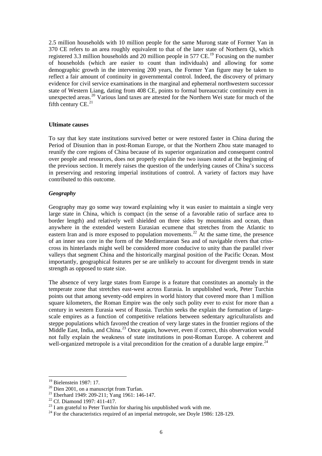2.5 million households with 10 million people for the same Murong state of Former Yan in 370 CE refers to an area roughly equivalent to that of the later state of Northern Qi, which registered 3.3 million households and 20 million people in 577 CE.<sup>[19](#page-5-0)</sup> Focusing on the number of households (which are easier to count than individuals) and allowing for some demographic growth in the intervening 200 years, the Former Yan figure may be taken to reflect a fair amount of continuity in governmental control. Indeed, the discovery of primary evidence for civil service examinations in the marginal and ephemeral northwestern successor state of Western Liang, dating from 408 CE, points to formal bureaucratic continuity even in unexpected areas.<sup>[20](#page-5-1)</sup> Various land taxes are attested for the Northern Wei state for much of the fifth century  $CE.<sup>21</sup>$  $CE.<sup>21</sup>$  $CE.<sup>21</sup>$ 

## **Ultimate causes**

To say that key state institutions survived better or were restored faster in China during the Period of Disunion than in post-Roman Europe, or that the Northern Zhou state managed to reunify the core regions of China because of its superior organization and consequent control over people and resources, does not properly explain the two issues noted at the beginning of the previous section. It merely raises the question of the underlying causes of China's success in preserving and restoring imperial institutions of control. A variety of factors may have contributed to this outcome.

## *Geography*

Geography may go some way toward explaining why it was easier to maintain a single very large state in China, which is compact (in the sense of a favorable ratio of surface area to border length) and relatively well shielded on three sides by mountains and ocean, than anywhere in the extended western Eurasian ecumene that stretches from the Atlantic to eastern Iran and is more exposed to population movements.<sup>[22](#page-5-3)</sup> At the same time, the presence of an inner sea core in the form of the Mediterranean Sea and of navigable rivers that crisscross its hinterlands might well be considered more conducive to unity than the parallel river valleys that segment China and the historically marginal position of the Pacific Ocean. Most importantly, geographical features per se are unlikely to account for divergent trends in state strength as opposed to state size.

The absence of very large states from Europe is a feature that constitutes an anomaly in the temperate zone that stretches east-west across Eurasia. In unpublished work, Peter Turchin points out that among seventy-odd empires in world history that covered more than 1 million square kilometers, the Roman Empire was the only such polity ever to exist for more than a century in western Eurasia west of Russia. Turchin seeks the explain the formation of largescale empires as a function of competitive relations between sedentary agriculturalists and steppe populations which favored the creation of very large states in the frontier regions of the Middle East, India, and China.<sup>[23](#page-5-4)</sup> Once again, however, even if correct, this observation would not fully explain the weakness of state institutions in post-Roman Europe. A coherent and well-organized metropole is a vital precondition for the creation of a durable large empire.  $^{24}$  $^{24}$  $^{24}$ 

<sup>&</sup>lt;sup>19</sup> Bielenstein 1987: 17.

<span id="page-5-1"></span><span id="page-5-0"></span><sup>&</sup>lt;sup>20</sup> Dien 2001, on a manuscript from Turfan.

<span id="page-5-2"></span><sup>21</sup> Eberhard 1949: 209-211; Yang 1961: 146-147.

<span id="page-5-3"></span><sup>22</sup> Cf. Diamond 1997: 411-417.

<span id="page-5-4"></span> $23$  I am grateful to Peter Turchin for sharing his unpublished work with me.

<span id="page-5-5"></span> $^{24}$  For the characteristics required of an imperial metropole, see Doyle 1986: 128-129.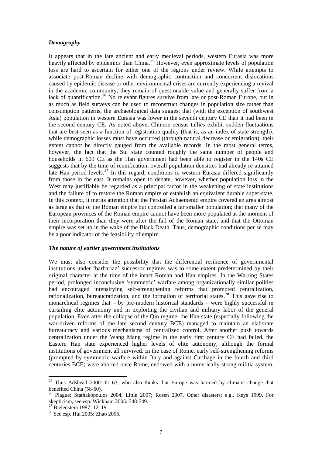## *Demography*

It appears that in the late ancient and early medieval periods, western Eurasia was more heavily affected by epidemics than China.<sup>[25](#page-6-0)</sup> However, even approximate levels of population loss are hard to ascertain for either one of the regions under review. While attempts to associate post-Roman decline with demographic contraction and concurrent dislocations caused by epidemic disease or other environmental crises are currently experiencing a revival in the academic community, they remain of questionable value and generally suffer from a lack of quantification.<sup>[26](#page-6-1)</sup> No relevant figures survive from late or post-Roman Europe, but in as much as field surveys can be used to reconstruct changes in population size rather than consumption patterns, the archaeological data suggest that (with the exception of southwest Asia) population in western Eurasia was lower in the seventh century CE than it had been in the second century CE. As noted above, Chinese census tallies exhibit sudden fluctuations that are best seen as a function of registration quality (that is, as an index of state strength): while demographic losses must have occurred (through natural decrease or emigration), their extent cannot be directly gauged from the available records. In the most general terms, however, the fact that the Sui state counted roughly the same number of people and households in 609 CE as the Han government had been able to register in the 140s CE suggests that by the time of reunification, overall population densities had already re-attained late Han-period levels.<sup>[27](#page-6-2)</sup> In this regard, conditions in western Eurasia differed significantly from those in the east. It remains open to debate, however, whether population loss in the West may justifiably be regarded as a principal factor in the weakening of state institutions and the failure of to restore the Roman empire or establish an equivalent durable super-state. In this context, it merits attention that the Persian Achaemenid empire covered an area almost as large as that of the Roman empire but controlled a far smaller population; that many of the European provinces of the Roman empire cannot have been more populated at the moment of their incorporation than they were after the fall of the Roman state; and that the Ottoman empire was set up in the wake of the Black Death. Thus, demographic conditions per se may be a poor indicator of the feasibility of empire.

## *The nature of earlier government institutions*

We must also consider the possibility that the differential resilience of governmental institutions under 'barbarian' successor regimes was to some extent predetermined by their original character at the time of the intact Roman and Han empires. In the Warring States period, prolonged inconclusive 'symmetric' warfare among organizationally similar polities had encouraged intensifying self-strengthening reforms that promoted centralization, rationalization, bureaucratization, and the formation of territorial states.<sup>[28](#page-6-3)</sup> This gave rise to monarchical regimes that – by pre-modern historical standards – were highly successful in curtailing elite autonomy and in exploiting the civilian and military labor of the general population. Even after the collapse of the Qin regime, the Han state (especially following the war-driven reforms of the late second century BCE) managed to maintain an elaborate bureaucracy and various mechanisms of centralized control. After another push towards centralization under the Wang Mang regime in the early first century CE had failed, the Eastern Han state experienced higher levels of elite autonomy, although the formal institutions of government all survived. In the case of Rome, early self-strengthening reforms (prompted by symmetric warfare within Italy and against Carthage in the fourth and third centuries BCE) were aborted once Rome, endowed with a numerically strong militia system,

<span id="page-6-0"></span><sup>&</sup>lt;sup>25</sup> Thus Adshead 2000: 61-63, who also thinks that Europe was harmed by climatic change that benefited China (58-60).

<span id="page-6-1"></span><sup>&</sup>lt;sup>26</sup> Plague: Stathakopoulos 2004; Little 2007; Rosen 2007. Other disasters: e.g., Keys 1999. For skepticism, see esp. Wickham 2005: 548-549.

 $27$  Bielenstein 1987: 12, 19.

<span id="page-6-3"></span><span id="page-6-2"></span><sup>28</sup> See esp. Hui 2005; Zhao 2006.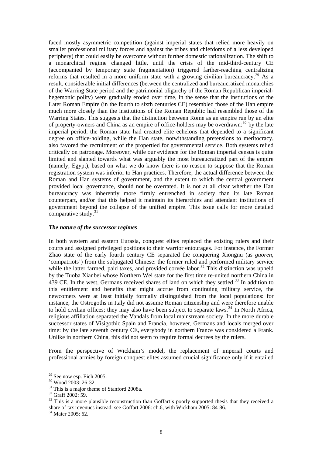faced mostly asymmetric competition (against imperial states that relied more heavily on smaller professional military forces and against the tribes and chiefdoms of a less developed periphery) that could easily be overcome without further domestic rationalization. The shift to a monarchical regime changed little, until the crisis of the mid-third-century CE (accompanied by temporary state fragmentation) triggered farther-reaching centralizing reforms that resulted in a more uniform state with a growing civilian bureaucracy.<sup>[29](#page-7-0)</sup> As a result, considerable initial differences (between the centralized and bureaucratized monarchies of the Warring State period and the patrimonial oligarchy of the Roman Republican imperialhegemonic polity) were gradually eroded over time, in the sense that the institutions of the Later Roman Empire (in the fourth to sixth centuries CE) resembled those of the Han empire much more closely than the institutions of the Roman Republic had resembled those of the Warring States. This suggests that the distinction between Rome as an empire run by an elite of property-owners and China as an empire of office-holders may be overdrawn:<sup>[30](#page-7-1)</sup> by the late imperial period, the Roman state had created elite echelons that depended to a significant degree on office-holding, while the Han state, notwithstanding pretensions to meritocracy, also favored the recruitment of the propertied for governmental service. Both systems relied critically on patronage. Moreover, while our evidence for the Roman imperial census is quite limited and slanted towards what was arguably the most bureaucratized part of the empire (namely, Egypt), based on what we do know there is no reason to suppose that the Roman registration system was inferior to Han practices. Therefore, the actual difference between the Roman and Han systems of government, and the extent to which the central government provided local governance, should not be overrated. It is not at all clear whether the Han bureaucracy was inherently more firmly entrenched in society than its late Roman counterpart, and/or that this helped it maintain its hierarchies and attendant institutions of government beyond the collapse of the unified empire. This issue calls for more detailed comparative study. $31$ 

#### *The nature of the successor regimes*

In both western and eastern Eurasia, conquest elites replaced the existing rulers and their courts and assigned privileged positions to their warrior entourages. For instance, the Former Zhao state of the early fourth century CE separated the conquering Xiongnu (as *guoren*, 'compatriots') from the subjugated Chinese: the former ruled and performed military service while the latter farmed, paid taxes, and provided corvée labor.<sup>[32](#page-7-3)</sup> This distinction was upheld by the Tuoba Xianbei whose Northern Wei state for the first time re-united northern China in 439 CE. In the west, Germans received shares of land on which they settled.<sup>[33](#page-7-4)</sup> In addition to this entitlement and benefits that might accrue from continuing military service, the newcomers were at least initially formally distinguished from the local populations: for instance, the Ostrogoths in Italy did not assume Roman citizenship and were therefore unable to hold civilian offices; they may also have been subject to separate laws.<sup>[34](#page-7-5)</sup> In North Africa, religious affiliation separated the Vandals from local mainstream society. In the more durable successor states of Visigothic Spain and Francia, however, Germans and locals merged over time: by the late seventh century CE, everybody in northern France was considered a Frank. Unlike in northern China, this did not seem to require formal decrees by the rulers.

From the perspective of Wickham's model, the replacement of imperial courts and professional armies by foreign conquest elites assumed crucial significance only if it entailed

 $29$  See now esp. Eich 2005.

<span id="page-7-1"></span><span id="page-7-0"></span><sup>30</sup> Wood 2003: 26-32.

<span id="page-7-2"></span><sup>&</sup>lt;sup>31</sup> This is a major theme of Stanford 2008a.

<span id="page-7-3"></span><sup>32</sup> Graff 2002: 59.

<span id="page-7-4"></span> $33$  This is a more plausible reconstruction than Goffart's poorly supported thesis that they received a share of tax revenues instead: see Goffart 2006: ch.6, with Wickham 2005: 84-86.

<span id="page-7-5"></span><sup>34</sup> Maier 2005: 62.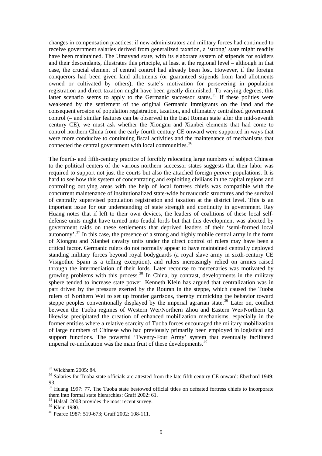changes in compensation practices: if new administrators and military forces had continued to receive government salaries derived from generalized taxation, a 'strong' state might readily have been maintained. The Umayyad state, with its elaborate system of stipends for soldiers and their descendants, illustrates this principle, at least at the regional level – although in that case, the crucial element of central control had already been lost. However, if the foreign conquerors had been given land allotments (or guaranteed stipends from land allotments owned or cultivated by others), the state's motivation for persevering in population registration and direct taxation might have been greatly diminished. To varying degrees, this latter scenario seems to apply to the Germanic successor states.<sup>[35](#page-8-0)</sup> If these polities were weakened by the settlement of the original Germanic immigrants on the land and the consequent erosion of population registration, taxation, and ultimately centralized government control (– and similar features can be observed in the East Roman state after the mid-seventh century CE), we must ask whether the Xiongnu and Xianbei elements that had come to control northern China from the early fourth century CE onward were supported in ways that were more conducive to continuing fiscal activities and the maintenance of mechanisms that connected the central government with local communities.<sup>[36](#page-8-1)</sup>

The fourth- and fifth-century practice of forcibly relocating large numbers of subject Chinese to the political centers of the various northern successor states suggests that their labor was required to support not just the courts but also the attached foreign *guoren* populations. It is hard to see how this system of concentrating and exploiting civilians in the capital regions and controlling outlying areas with the help of local fortress chiefs was compatible with the concurrent maintenance of institutionalized state-wide bureaucratic structures and the survival of centrally supervised population registration and taxation at the district level. This is an important issue for our understanding of state strength and continuity in government. Ray Huang notes that if left to their own devices, the leaders of coalitions of these local selfdefense units might have turned into feudal lords but that this development was aborted by government raids on these settlements that deprived leaders of their 'semi-formed local autonomy'.<sup>[37](#page-8-2)</sup> In this case, the presence of a strong and highly mobile central army in the form of Xiongnu and Xianbei cavalry units under the direct control of rulers may have been a critical factor. Germanic rulers do not normally appear to have maintained centrally deployed standing military forces beyond royal bodyguards (a royal slave army in sixth-century CE Visigothic Spain is a telling exception), and rulers increasingly relied on armies raised through the intermediation of their lords. Later recourse to mercenaries was motivated by growing problems with this process. $38$  In China, by contrast, developments in the military sphere tended to increase state power. Kenneth Klein has argued that centralization was in part driven by the pressure exerted by the Rouran in the steppe, which caused the Tuoba rulers of Northern Wei to set up frontier garrisons, thereby mimicking the behavior toward steppe peoples conventionally displayed by the imperial agrarian state.<sup>[39](#page-8-4)</sup> Later on, conflict between the Tuoba regimes of Western Wei/Northern Zhou and Eastern Wei/Northern Qi likewise precipitated the creation of enhanced mobilization mechanisms, especially in the former entities where a relative scarcity of Tuoba forces encouraged the military mobilization of large numbers of Chinese who had previously primarily been employed in logistical and support functions. The powerful 'Twenty-Four Army' system that eventually facilitated imperial re-unification was the main fruit of these developments.<sup>[40](#page-8-5)</sup>

<span id="page-8-0"></span><sup>35</sup> Wickham 2005: 84.

<span id="page-8-1"></span><sup>&</sup>lt;sup>36</sup> Salaries for Tuoba state officials are attested from the late fifth century CE onward: Eberhard 1949: 93.

<span id="page-8-2"></span> $37$  Huang 1997: 77. The Tuoba state bestowed official titles on defeated fortress chiefs to incorporate them into formal state hierarchies: Graff 2002: 61.

<sup>&</sup>lt;sup>38</sup> Halsall 2003 provides the most recent survey.

<span id="page-8-4"></span><span id="page-8-3"></span><sup>39</sup> Klein 1980.

<span id="page-8-5"></span><sup>40</sup> Pearce 1987: 519-673; Graff 2002: 108-111.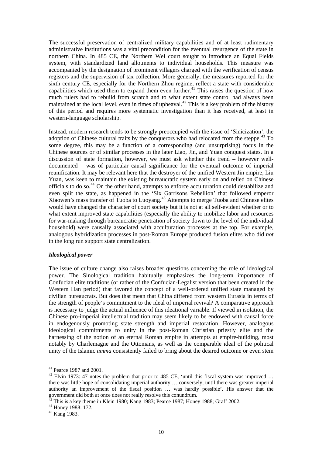The successful preservation of centralized military capabilities and of at least rudimentary administrative institutions was a vital precondition for the eventual resurgence of the state in northern China. In 485 CE, the Northern Wei court sought to introduce an Equal Fields system, with standardized land allotments to individual households. This measure was accompanied by the designation of prominent villagers charged with the verification of census registers and the supervision of tax collection. More generally, the measures reported for the sixth century CE, especially for the Northern Zhou regime, reflect a state with considerable capabilities which used them to expand them even further.<sup>[41](#page-9-0)</sup> This raises the question of how much rulers had to rebuild from scratch and to what extent state control had always been maintained at the local level, even in times of upheaval.<sup>[42](#page-9-1)</sup> This is a key problem of the history of this period and requires more systematic investigation than it has received, at least in western-language scholarship.

Instead, modern research tends to be strongly preoccupied with the issue of 'Sinicization', the adoption of Chinese cultural traits by the conquerors who had relocated from the steppe.<sup>[43](#page-9-2)</sup> To some degree, this may be a function of a corresponding (and unsurprising) focus in the Chinese sources or of similar processes in the later Liao, Jin, and Yuan conquest states. In a discussion of state formation, however, we must ask whether this trend – however welldocumented – was of particular causal significance for the eventual outcome of imperial reunification. It may be relevant here that the destroyer of the unified Western Jin empire, Liu Yuan, was keen to maintain the existing bureaucratic system early on and relied on Chinese officials to do so.[44](#page-9-3) On the other hand, attempts to enforce acculturation could destabilize and even split the state, as happened in the 'Six Garrisons Rebellion' that followed emperor Xiaowen's mass transfer of Tuoba to Luoyang.[45](#page-9-4) Attempts to merge Tuoba and Chinese elites would have changed the character of court society but it is not at all self-evident whether or to what extent improved state capabilities (especially the ability to mobilize labor and resources for war-making through bureaucratic penetration of society down to the level of the individual household) were causally associated with acculturation processes at the top. For example, analogous hybridization processes in post-Roman Europe produced fusion elites who did *not* in the long run support state centralization.

## *Ideological power*

The issue of culture change also raises broader questions concerning the role of ideological power. The Sinological tradition habitually emphasizes the long-term importance of Confucian elite traditions (or rather of the Confucian-Legalist version that been created in the Western Han period) that favored the concept of a well-ordered unified state managed by civilian bureaucrats. But does that mean that China differed from western Eurasia in terms of the strength of people's commitment to the ideal of imperial revival? A comparative approach is necessary to judge the actual influence of this ideational variable. If viewed in isolation, the Chinese pro-imperial intellectual tradition may seem likely to be endowed with causal force in endogenously promoting state strength and imperial restoration. However, analogous ideological commitments to unity in the post-Roman Christian priestly elite and the harnessing of the notion of an eternal Roman empire in attempts at empire-building, most notably by Charlemagne and the Ottonians, as well as the comparable ideal of the political unity of the Islamic *umma* consistently failed to bring about the desired outcome or even stem

 $41$  Pearce 1987 and 2001.

<span id="page-9-1"></span><span id="page-9-0"></span><sup>&</sup>lt;sup>42</sup> Elvin 1973: 47 notes the problem that prior to 485 CE, 'until this fiscal system was improved ... there was little hope of consolidating imperial authority … conversely, until there was greater imperial authority an improvement of the fiscal position … was hardly possible'. His answer that the government did both at once does not really resolve this conundrum.

<sup>43</sup> This is a key theme in Klein 1980; Kang 1983; Pearce 1987; Honey 1988; Graff 2002.

<span id="page-9-3"></span><span id="page-9-2"></span> $^{44}$  Honey 1988: 172.

<span id="page-9-4"></span><sup>45</sup> Kang 1983.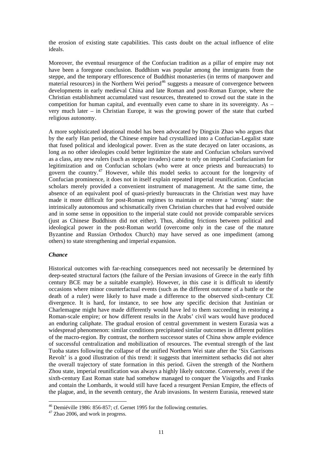the erosion of existing state capabilities. This casts doubt on the actual influence of elite ideals.

Moreover, the eventual resurgence of the Confucian tradition as a pillar of empire may not have been a foregone conclusion. Buddhism was popular among the immigrants from the steppe, and the temporary efflorescence of Buddhist monasteries (in terms of manpower and material resources) in the Northern Wei period<sup>[46](#page-10-0)</sup> suggests a measure of convergence between developments in early medieval China and late Roman and post-Roman Europe, where the Christian establishment accumulated vast resources, threatened to crowd out the state in the competition for human capital, and eventually even came to share in its sovereignty. As – very much later – in Christian Europe, it was the growing power of the state that curbed religious autonomy.

A more sophisticated ideational model has been advocated by Dingxin Zhao who argues that by the early Han period, the Chinese empire had crystallized into a Confucian-Legalist state that fused political and ideological power. Even as the state decayed on later occasions, as long as no other ideologies could better legitimize the state and Confucian scholars survived as a class, any new rulers (such as steppe invaders) came to rely on imperial Confucianism for legitimization and on Confucian scholars (who were at once priests and bureaucrats) to govern the country.[47](#page-10-1) However, while this model seeks to account for the longevity of Confucian prominence, it does not in itself explain repeated imperial reunification. Confucian scholars merely provided a convenient instrument of management. At the same time, the absence of an equivalent pool of quasi-priestly bureaucrats in the Christian west may have made it more difficult for post-Roman regimes to maintain or restore a 'strong' state: the intrinsically autonomous and schismatically riven Christian churches that had evolved outside and in some sense in opposition to the imperial state could not provide comparable services (just as Chinese Buddhism did not either). Thus, abiding frictions between political and ideological power in the post-Roman world (overcome only in the case of the mature Byzantine and Russian Orthodox Church) may have served as one impediment (among others) to state strengthening and imperial expansion.

## *Chance*

 $\overline{a}$ 

Historical outcomes with far-reaching consequences need not necessarily be determined by deep-seated structural factors (the failure of the Persian invasions of Greece in the early fifth century BCE may be a suitable example). However, in this case it is difficult to identify occasions where minor counterfactual events (such as the different outcome of a battle or the death of a ruler) were likely to have made a difference to the observed sixth-century CE divergence. It is hard, for instance, to see how any specific decision that Justinian or Charlemagne might have made differently would have led to them succeeding in restoring a Roman-scale empire; or how different results in the Arabs' civil wars would have produced an enduring caliphate. The gradual erosion of central government in western Eurasia was a widespread phenomenon: similar conditions precipitated similar outcomes in different polities of the macro-region. By contrast, the northern successor states of China show ample evidence of successful centralization and mobilization of resources. The eventual strength of the last Tuoba states following the collapse of the unified Northern Wei state after the 'Six Garrisons Revolt' is a good illustration of this trend: it suggests that intermittent setbacks did not alter the overall trajectory of state formation in this period. Given the strength of the Northern Zhou state, imperial reunification was always a highly likely outcome. Conversely, even if the sixth-century East Roman state had somehow managed to conquer the Visigoths and Franks and contain the Lombards, it would still have faced a resurgent Persian Empire, the effects of the plague, and, in the seventh century, the Arab invasions. In western Eurasia, renewed state

 $46$  Demiéville 1986: 856-857; cf. Gernet 1995 for the following centuries.

<span id="page-10-1"></span><span id="page-10-0"></span><sup>&</sup>lt;sup>47</sup> Zhao 2006, and work in progress.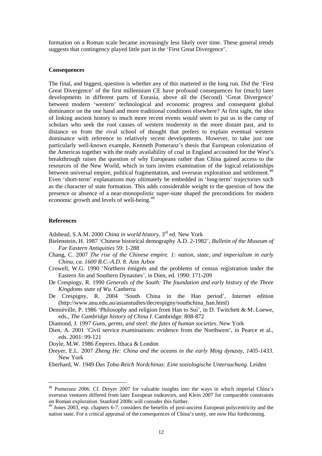formation on a Roman scale became increasingly less likely over time. These general trends suggests that contingency played little part in the 'First Great Divergence'.

#### **Consequences**

The final, and biggest, question is whether any of this mattered in the long run. Did the 'First Great Divergence' of the first millennium CE have profound consequences for (much) later developments in different parts of Eurasia, above all the (Second) 'Great Divergence' between modern 'western' technological and economic progress and consequent global dominance on the one hand and more traditional conditions elsewhere? At first sight, the idea of linking ancient history to much more recent events would seem to put us in the camp of scholars who seek the root causes of western modernity in the more distant past, and to distance us from the rival school of thought that prefers to explain eventual western dominance with reference to relatively recent developments. However, to take just one particularly well-known example, Kenneth Pomeranz's thesis that European colonization of the Americas together with the ready availability of coal in England accounted for the West's breakthrough raises the question of why Europeans rather than China gained access to the resources of the New World, which in turn invites examination of the logical relationships between universal empire, political fragmentation, and overseas exploration and settlement.<sup>[48](#page-11-0)</sup> Even 'short-term' explanations may ultimately be embedded in 'long-term' trajectories such as the character of state formation. This adds considerable weight to the question of how the presence or absence of a near-monopolistic super-state shaped the preconditions for modern economic growth and levels of well-being.<sup>[49](#page-11-1)</sup>

### **References**

 $\overline{a}$ 

Adshead, S.A.M. 2000 *China in world history*. 3rd ed. New York

- Bielenstein, H. 1987 'Chinese historical demography A.D. 2-1982', *Bulletin of the Museum of Far Eastern Antiquities* 59: 1-288
- Chang, C. 2007 *The rise of the Chinese empire. 1: nation, state, and imperialism in early China, ca. 1600 B.C.-A.D. 8*. Ann Arbor
- Crowell, W.G. 1990 'Northern émigrés and the problems of census registration under the Eastern Jin and Southern Dynasties', in Dien, ed. 1990: 171-209
- De Crespingy, R. 1990 *Generals of the South: The foundation and early history of the Three Kingdoms state of Wu*. Canberra
- De Crespigny, R. 2004 'South China in the Han period', Internet edition (http://www.anu.edu.au/asianstudies/decrespigny/southchina\_han.html)
- Demiéville, P. 1986 'Philosophy and religion from Han to Sui', in D. Twitchett & M. Loewe, eds., *The Cambridge history of China I*. Cambridge: 808-872
- Diamond, J. 1997 *Guns, germs, and steel: the fates of human societies*. New York
- Dien, A. 2001 'Civil service examinations: evidence from the Northwest', in Pearce et al., eds. 2001: 99-121
- Doyle, M.W. 1986 *Empires*. Ithaca & London
- Dreyer, E.L. 2007 *Zheng He: China and the oceans in the early Ming dynasty, 1405-1433*. New York
- Eberhard, W. 1949 *Das Toba-Reich Nordchinas: Eine soziologische Untersuchung*. Leiden

<span id="page-11-0"></span><sup>48</sup> Pomeranz 2006. Cf. Dreyer 2007 for valuable insights into the ways in which imperial China's overseas ventures differed from later European endeavors, and Klein 2007 for comparable constraints on Roman exploration. Stanford 2008c will consider this further.

<span id="page-11-1"></span><sup>&</sup>lt;sup>49</sup> Jones 2003, esp. chapters 6-7, considers the benefits of post-ancient European polycentricity and the nation state. For a critical appraisal of the consequences of China's unity, see now Hui forthcoming.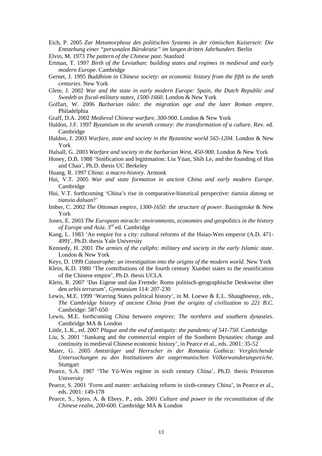Eich, P. 2005 *Zur Metamorphose des politischen Systems in der römischen Kaiserzeit: Die Entstehung einer "personalen Bürokratie" im langen dritten Jahrhundert*. Berlin

Elvin, M. 1973 *The pattern of the Chinese past*. Stanford

- Ertman, T. 1997 *Birth of the Leviathan: building states and regimes in medieval and early modern Europe*. Cambridge
- Gernet, J. 1995 *Buddhism in Chinese society: an economic history from the fifth to the tenth centuries*. New York
- Glete, J. 2002 *War and the state in early modern Europe: Spain, the Dutch Republic and Swedeb as fiscal-military states, 1500-1660*. London & New York
- Goffart, W. 2006 *Barbarian tides: the migration age and the later Roman empire*. Philadelphia
- Graff, D.A. 2002 *Medieval Chinese warfare, 300-900*. London & New York
- Haldon, J.F. 1997 *Byzantium in the seventh century: the transformation of a culture*. Rev. ed. Cambridge
- Haldon, J. 2003 *Warfare, state and society in the Byzantine world 565-1204*. London & New York
- Halsall, G. 2003 *Warfare and society in the barbarian West, 450-900*. London & New York
- Honey, D.B. 1988 'Sinification and legitimation: Liu Yüan, Shih Le, and the founding of Han and Chao', Ph.D. thesis UC Berkeley
- Huang, R. 1997 *China: a macro history*. Armonk
- Hui, V.T. 2005 *War and state formation in ancient China and early modern Europe*. Cambridge
- Hui, V.T. forthcoming 'China's rise in comparative-historical perspective: *tianxia datong* or *tianxia daluan*?'
- Imber, C. 2002 *The Ottoman empire, 1300-1650: the structure of power*. Basingstoke & New York
- Jones, E. 2003 *The European miracle: environments, economies and geopolitics in the history of Europe and Asia*. 3rd ed. Cambridge
- Kang, L. 1983 'An empire for a city: cultural reforms of the Hsiao-Wen emperor (A.D. 471- 499)', Ph.D. thesis Yale University
- Kennedy, H. 2001 *The armies of the caliphs: military and society in the early Islamic state*. London & New York
- Keys, D. 1999 *Catastrophe: an investigation into the origins of the modern world*. New York
- Klein, K.D. 1980 'The contributions of the fourth century Xianbei states to the reunification of the Chinese empire', Ph.D. thesis UCLA
- Klein, R. 2007 'Das Eigene und das Fremde: Roms politisch-geographische Denkweise über den *orbis terrarum*', *Gymnasium* 114: 207-230
- Lewis, M.E. 1999 'Warring States political history', in M. Loewe & E.L. Shaughnessy, eds., *The Cambridge history of ancient China from the origins of civilization to 221 B.C*. Cambridge: 587-650
- Lewis, M.E. forthcoming *China between empires: The northern and southern dynasties*. Cambridge MA & London
- Little, L.K., ed. 2007 *Plague and the end of antiquity: the pandemic of 541-750*. Cambridge
- Liu, S. 2001 'Jiankang and the commercial empire of the Southern Dynasties: change and continuity in medieval Chinese economic history', in Pearce et al., eds. 2001: 35-52
- Maier, G. 2005 *Amtsträger und Herrscher in der Romania Gothica: Vergleichende Untersuchungen zu den Institutionen der ostgermanischen Völkerwanderungsreiche*. **Stuttgart**
- Pearce, S.A. 1987 'The Yü-Wen regime in sixth century China', Ph.D. thesis Princeton University
- Pearce, S. 2001 'Form and matter: archaizing reform in sixth-century China', in Pearce et al., eds. 2001: 149-178
- Pearce, S., Spiro, A. & Ebrey, P., eds. 2001 *Culture and power in the reconstitution of the Chinese realm, 200-600*. Cambridge MA & London